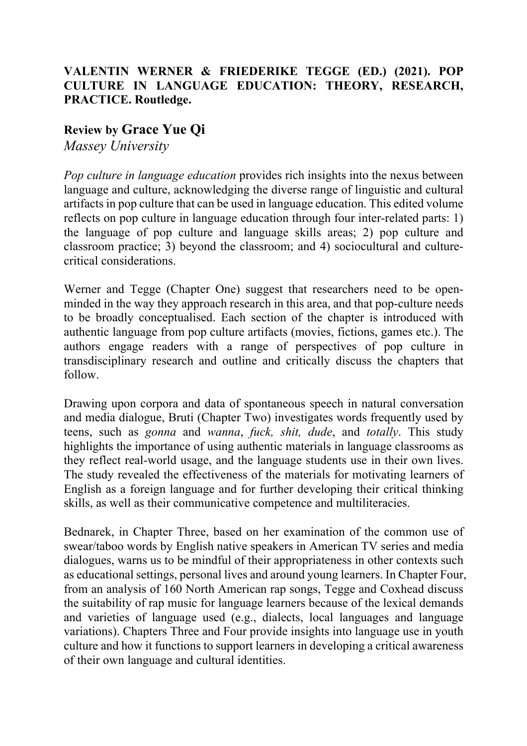## **VALENTIN WERNER & FRIEDERIKE TEGGE (ED.) (2021). POP CULTURE IN LANGUAGE EDUCATION: THEORY, RESEARCH, PRACTICE. Routledge.**

## **Review by Grace Yue Qi**

*Massey University*

*Pop culture in language education* provides rich insights into the nexus between language and culture, acknowledging the diverse range of linguistic and cultural artifacts in pop culture that can be used in language education. This edited volume reflects on pop culture in language education through four inter-related parts: 1) the language of pop culture and language skills areas; 2) pop culture and classroom practice; 3) beyond the classroom; and 4) sociocultural and culturecritical considerations.

Werner and Tegge (Chapter One) suggest that researchers need to be openminded in the way they approach research in this area, and that pop-culture needs to be broadly conceptualised. Each section of the chapter is introduced with authentic language from pop culture artifacts (movies, fictions, games etc.). The authors engage readers with a range of perspectives of pop culture in transdisciplinary research and outline and critically discuss the chapters that follow.

Drawing upon corpora and data of spontaneous speech in natural conversation and media dialogue, Bruti (Chapter Two) investigates words frequently used by teens, such as *gonna* and *wanna*, *fuck, shit, dude*, and *totally*. This study highlights the importance of using authentic materials in language classrooms as they reflect real-world usage, and the language students use in their own lives. The study revealed the effectiveness of the materials for motivating learners of English as a foreign language and for further developing their critical thinking skills, as well as their communicative competence and multiliteracies.

Bednarek, in Chapter Three, based on her examination of the common use of swear/taboo words by English native speakers in American TV series and media dialogues, warns us to be mindful of their appropriateness in other contexts such as educational settings, personal lives and around young learners. In Chapter Four, from an analysis of 160 North American rap songs, Tegge and Coxhead discuss the suitability of rap music for language learners because of the lexical demands and varieties of language used (e.g., dialects, local languages and language variations). Chapters Three and Four provide insights into language use in youth culture and how it functions to support learners in developing a critical awareness of their own language and cultural identities.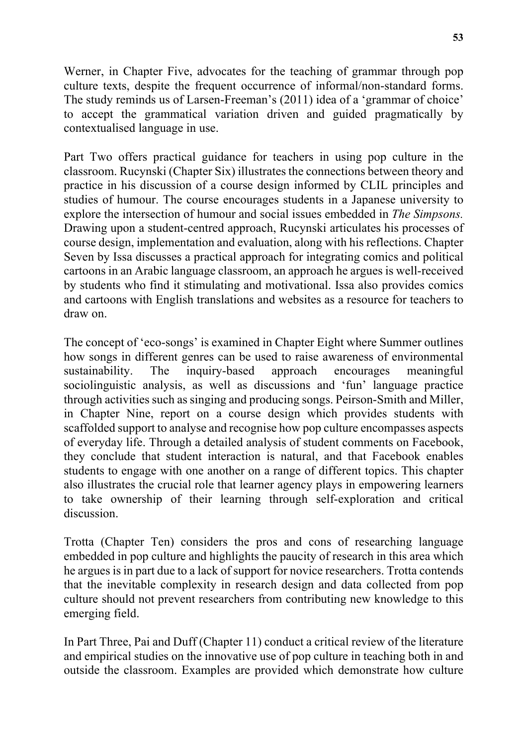Werner, in Chapter Five, advocates for the teaching of grammar through pop culture texts, despite the frequent occurrence of informal/non-standard forms. The study reminds us of Larsen-Freeman's (2011) idea of a 'grammar of choice' to accept the grammatical variation driven and guided pragmatically by contextualised language in use.

Part Two offers practical guidance for teachers in using pop culture in the classroom. Rucynski (Chapter Six) illustrates the connections between theory and practice in his discussion of a course design informed by CLIL principles and studies of humour. The course encourages students in a Japanese university to explore the intersection of humour and social issues embedded in *The Simpsons.* Drawing upon a student-centred approach, Rucynski articulates his processes of course design, implementation and evaluation, along with his reflections. Chapter Seven by Issa discusses a practical approach for integrating comics and political cartoons in an Arabic language classroom, an approach he argues is well-received by students who find it stimulating and motivational. Issa also provides comics and cartoons with English translations and websites as a resource for teachers to draw on.

The concept of 'eco-songs' is examined in Chapter Eight where Summer outlines how songs in different genres can be used to raise awareness of environmental sustainability. The inquiry-based approach encourages meaningful sociolinguistic analysis, as well as discussions and 'fun' language practice through activities such as singing and producing songs. Peirson-Smith and Miller, in Chapter Nine, report on a course design which provides students with scaffolded support to analyse and recognise how pop culture encompasses aspects of everyday life. Through a detailed analysis of student comments on Facebook, they conclude that student interaction is natural, and that Facebook enables students to engage with one another on a range of different topics. This chapter also illustrates the crucial role that learner agency plays in empowering learners to take ownership of their learning through self-exploration and critical discussion.

Trotta (Chapter Ten) considers the pros and cons of researching language embedded in pop culture and highlights the paucity of research in this area which he argues is in part due to a lack of support for novice researchers. Trotta contends that the inevitable complexity in research design and data collected from pop culture should not prevent researchers from contributing new knowledge to this emerging field.

In Part Three, Pai and Duff (Chapter 11) conduct a critical review of the literature and empirical studies on the innovative use of pop culture in teaching both in and outside the classroom. Examples are provided which demonstrate how culture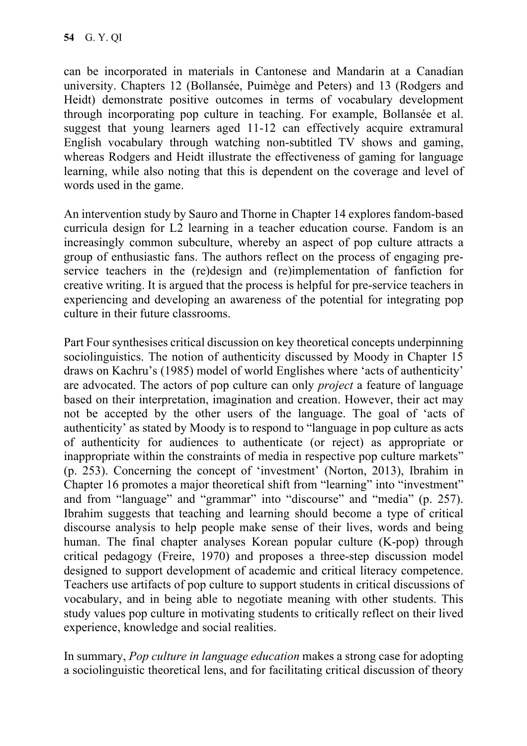can be incorporated in materials in Cantonese and Mandarin at a Canadian university. Chapters 12 (Bollansée, Puimège and Peters) and 13 (Rodgers and Heidt) demonstrate positive outcomes in terms of vocabulary development through incorporating pop culture in teaching. For example, Bollansée et al. suggest that young learners aged 11-12 can effectively acquire extramural English vocabulary through watching non-subtitled TV shows and gaming, whereas Rodgers and Heidt illustrate the effectiveness of gaming for language learning, while also noting that this is dependent on the coverage and level of words used in the game.

An intervention study by Sauro and Thorne in Chapter 14 explores fandom-based curricula design for L2 learning in a teacher education course. Fandom is an increasingly common subculture, whereby an aspect of pop culture attracts a group of enthusiastic fans. The authors reflect on the process of engaging preservice teachers in the (re)design and (re)implementation of fanfiction for creative writing. It is argued that the process is helpful for pre-service teachers in experiencing and developing an awareness of the potential for integrating pop culture in their future classrooms.

Part Four synthesises critical discussion on key theoretical concepts underpinning sociolinguistics. The notion of authenticity discussed by Moody in Chapter 15 draws on Kachru's (1985) model of world Englishes where 'acts of authenticity' are advocated. The actors of pop culture can only *project* a feature of language based on their interpretation, imagination and creation. However, their act may not be accepted by the other users of the language. The goal of 'acts of authenticity' as stated by Moody is to respond to "language in pop culture as acts of authenticity for audiences to authenticate (or reject) as appropriate or inappropriate within the constraints of media in respective pop culture markets" (p. 253). Concerning the concept of 'investment' (Norton, 2013), Ibrahim in Chapter 16 promotes a major theoretical shift from "learning" into "investment" and from "language" and "grammar" into "discourse" and "media" (p. 257). Ibrahim suggests that teaching and learning should become a type of critical discourse analysis to help people make sense of their lives, words and being human. The final chapter analyses Korean popular culture (K-pop) through critical pedagogy (Freire, 1970) and proposes a three-step discussion model designed to support development of academic and critical literacy competence. Teachers use artifacts of pop culture to support students in critical discussions of vocabulary, and in being able to negotiate meaning with other students. This study values pop culture in motivating students to critically reflect on their lived experience, knowledge and social realities.

In summary, *Pop culture in language education* makes a strong case for adopting a sociolinguistic theoretical lens, and for facilitating critical discussion of theory